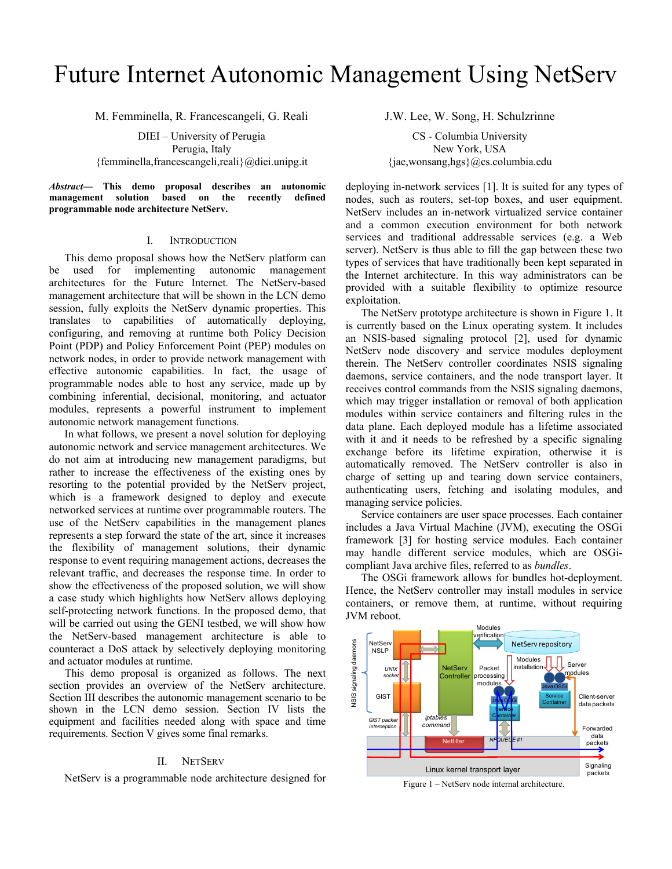# Future Internet Autonomic Management Using NetServ

M. Femminella, R. Francescangeli, G. Reali

DIEI – University of Perugia Perugia, Italy {femminella,francescangeli,reali}@diei.unipg.it

*Abstract***— This demo proposal describes an autonomic management solution based on the recently defined programmable node architecture NetServ.** 

## I. INTRODUCTION

This demo proposal shows how the NetServ platform can be used for implementing autonomic management architectures for the Future Internet. The NetServ-based management architecture that will be shown in the LCN demo session, fully exploits the NetServ dynamic properties. This translates to capabilities of automatically deploying, configuring, and removing at runtime both Policy Decision Point (PDP) and Policy Enforcement Point (PEP) modules on network nodes, in order to provide network management with effective autonomic capabilities. In fact, the usage of programmable nodes able to host any service, made up by combining inferential, decisional, monitoring, and actuator modules, represents a powerful instrument to implement autonomic network management functions.

In what follows, we present a novel solution for deploying autonomic network and service management architectures. We do not aim at introducing new management paradigms, but rather to increase the effectiveness of the existing ones by resorting to the potential provided by the NetServ project, which is a framework designed to deploy and execute networked services at runtime over programmable routers. The use of the NetServ capabilities in the management planes represents a step forward the state of the art, since it increases the flexibility of management solutions, their dynamic response to event requiring management actions, decreases the relevant traffic, and decreases the response time. In order to show the effectiveness of the proposed solution, we will show a case study which highlights how NetServ allows deploying self-protecting network functions. In the proposed demo, that will be carried out using the GENI testbed, we will show how the NetServ-based management architecture is able to counteract a DoS attack by selectively deploying monitoring and actuator modules at runtime.

This demo proposal is organized as follows. The next section provides an overview of the NetServ architecture. Section III describes the autonomic management scenario to be shown in the LCN demo session. Section IV lists the equipment and facilities needed along with space and time requirements. Section V gives some final remarks.

## II. NETSERV

NetServ is a programmable node architecture designed for

J.W. Lee, W. Song, H. Schulzrinne

CS - Columbia University New York, USA  $\{jae, wonsang,hgs\}$ @cs.columbia.edu

deploying in-network services [1]. It is suited for any types of nodes, such as routers, set-top boxes, and user equipment. NetServ includes an in-network virtualized service container and a common execution environment for both network services and traditional addressable services (e.g. a Web server). NetServ is thus able to fill the gap between these two types of services that have traditionally been kept separated in the Internet architecture. In this way administrators can be provided with a suitable flexibility to optimize resource exploitation.

The NetServ prototype architecture is shown in Figure 1. It is currently based on the Linux operating system. It includes an NSIS-based signaling protocol [2], used for dynamic NetServ node discovery and service modules deployment therein. The NetServ controller coordinates NSIS signaling daemons, service containers, and the node transport layer. It receives control commands from the NSIS signaling daemons, which may trigger installation or removal of both application modules within service containers and filtering rules in the data plane. Each deployed module has a lifetime associated with it and it needs to be refreshed by a specific signaling exchange before its lifetime expiration, otherwise it is automatically removed. The NetServ controller is also in charge of setting up and tearing down service containers, authenticating users, fetching and isolating modules, and managing service policies.

Service containers are user space processes. Each container includes a Java Virtual Machine (JVM), executing the OSGi framework [3] for hosting service modules. Each container may handle different service modules, which are OSGicompliant Java archive files, referred to as *bundles*.

The OSGi framework allows for bundles hot-deployment. Hence, the NetServ controller may install modules in service containers, or remove them, at runtime, without requiring JVM reboot.



Figure 1 – NetServ node internal architecture.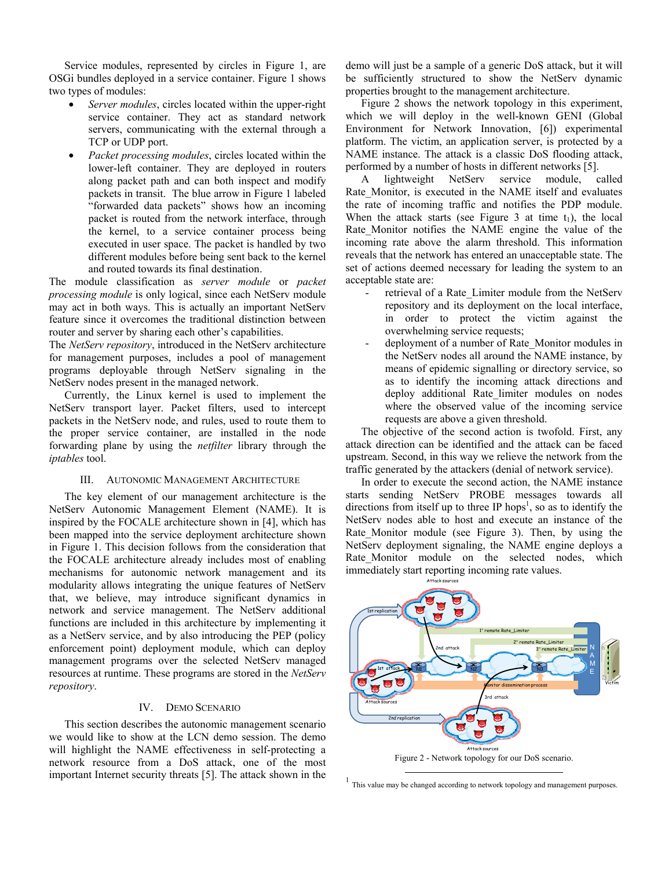Service modules, represented by circles in Figure 1, are OSGi bundles deployed in a service container. Figure 1 shows two types of modules:

- *Server modules*, circles located within the upper-right service container. They act as standard network servers, communicating with the external through a TCP or UDP port.
- *Packet processing modules*, circles located within the lower-left container. They are deployed in routers along packet path and can both inspect and modify packets in transit. The blue arrow in Figure 1 labeled "forwarded data packets" shows how an incoming packet is routed from the network interface, through the kernel, to a service container process being executed in user space. The packet is handled by two different modules before being sent back to the kernel and routed towards its final destination.

The module classification as *server module* or *packet processing module* is only logical, since each NetServ module may act in both ways. This is actually an important NetServ feature since it overcomes the traditional distinction between router and server by sharing each other's capabilities.

The *NetServ repository*, introduced in the NetServ architecture for management purposes, includes a pool of management programs deployable through NetServ signaling in the NetServ nodes present in the managed network.

Currently, the Linux kernel is used to implement the NetServ transport layer. Packet filters, used to intercept packets in the NetServ node, and rules, used to route them to the proper service container, are installed in the node forwarding plane by using the *netfilter* library through the *iptables* tool.

## III. AUTONOMIC MANAGEMENT ARCHITECTURE

The key element of our management architecture is the NetServ Autonomic Management Element (NAME). It is inspired by the FOCALE architecture shown in [4], which has been mapped into the service deployment architecture shown in Figure 1. This decision follows from the consideration that the FOCALE architecture already includes most of enabling mechanisms for autonomic network management and its modularity allows integrating the unique features of NetServ that, we believe, may introduce significant dynamics in network and service management. The NetServ additional functions are included in this architecture by implementing it as a NetServ service, and by also introducing the PEP (policy enforcement point) deployment module, which can deploy management programs over the selected NetServ managed resources at runtime. These programs are stored in the *NetServ repository*.

## IV. DEMO SCENARIO

This section describes the autonomic management scenario we would like to show at the LCN demo session. The demo will highlight the NAME effectiveness in self-protecting a network resource from a DoS attack, one of the most important Internet security threats [5]. The attack shown in the

demo will just be a sample of a generic DoS attack, but it will be sufficiently structured to show the NetServ dynamic properties brought to the management architecture.

Figure 2 shows the network topology in this experiment, which we will deploy in the well-known GENI (Global Environment for Network Innovation, [6]) experimental platform. The victim, an application server, is protected by a NAME instance. The attack is a classic DoS flooding attack, performed by a number of hosts in different networks [5].

A lightweight NetServ service module, called Rate Monitor, is executed in the NAME itself and evaluates the rate of incoming traffic and notifies the PDP module. When the attack starts (see Figure 3 at time  $t_1$ ), the local Rate Monitor notifies the NAME engine the value of the incoming rate above the alarm threshold. This information reveals that the network has entered an unacceptable state. The set of actions deemed necessary for leading the system to an acceptable state are:

- retrieval of a Rate Limiter module from the NetServ repository and its deployment on the local interface, in order to protect the victim against the overwhelming service requests;
- deployment of a number of Rate\_Monitor modules in the NetServ nodes all around the NAME instance, by means of epidemic signalling or directory service, so as to identify the incoming attack directions and deploy additional Rate\_limiter modules on nodes where the observed value of the incoming service requests are above a given threshold.

The objective of the second action is twofold. First, any attack direction can be identified and the attack can be faced upstream. Second, in this way we relieve the network from the traffic generated by the attackers (denial of network service).

In order to execute the second action, the NAME instance starts sending NetServ PROBE messages towards all directions from itself up to three IP hops<sup>1</sup>, so as to identify the NetServ nodes able to host and execute an instance of the Rate Monitor module (see Figure 3). Then, by using the NetServ deployment signaling, the NAME engine deploys a Rate Monitor module on the selected nodes, which immediately start reporting incoming rate values.



 $<sup>1</sup>$  This value may be changed according to network topology and management purposes.</sup>